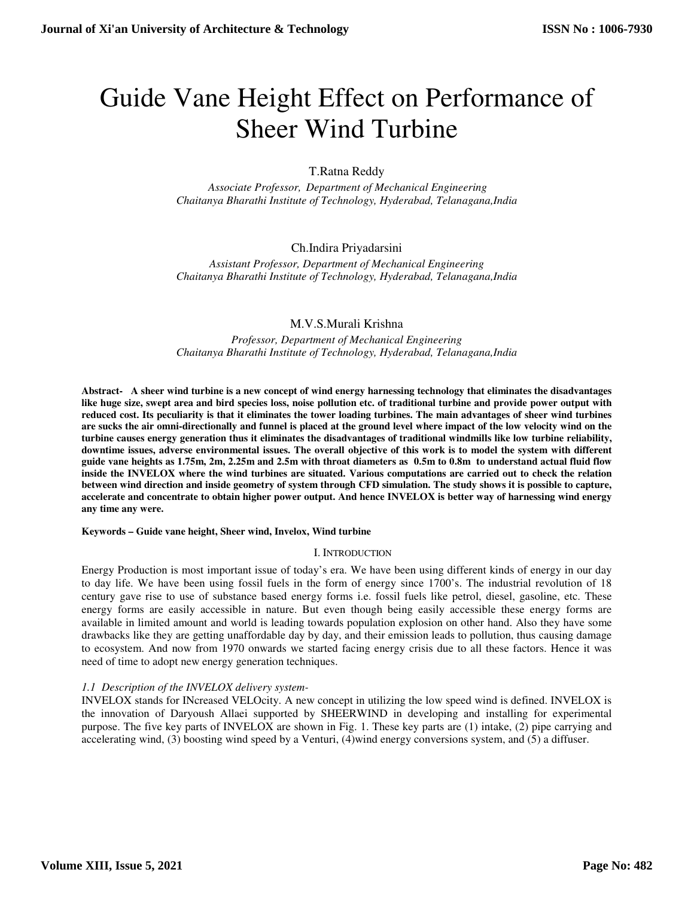# Guide Vane Height Effect on Performance of Sheer Wind Turbine

# T.Ratna Reddy

*Associate Professor, Department of Mechanical Engineering Chaitanya Bharathi Institute of Technology, Hyderabad, Telanagana,India* 

# Ch.Indira Priyadarsini

*Assistant Professor, Department of Mechanical Engineering Chaitanya Bharathi Institute of Technology, Hyderabad, Telanagana,India* 

# M.V.S.Murali Krishna

*Professor, Department of Mechanical Engineering Chaitanya Bharathi Institute of Technology, Hyderabad, Telanagana,India* 

**Abstract- A sheer wind turbine is a new concept of wind energy harnessing technology that eliminates the disadvantages like huge size, swept area and bird species loss, noise pollution etc. of traditional turbine and provide power output with reduced cost. Its peculiarity is that it eliminates the tower loading turbines. The main advantages of sheer wind turbines are sucks the air omni-directionally and funnel is placed at the ground level where impact of the low velocity wind on the turbine causes energy generation thus it eliminates the disadvantages of traditional windmills like low turbine reliability, downtime issues, adverse environmental issues. The overall objective of this work is to model the system with different guide vane heights as 1.75m, 2m, 2.25m and 2.5m with throat diameters as 0.5m to 0.8m to understand actual fluid flow inside the INVELOX where the wind turbines are situated. Various computations are carried out to check the relation between wind direction and inside geometry of system through CFD simulation. The study shows it is possible to capture, accelerate and concentrate to obtain higher power output. And hence INVELOX is better way of harnessing wind energy any time any were.** 

## **Keywords – Guide vane height, Sheer wind, Invelox, Wind turbine**

## I. INTRODUCTION

Energy Production is most important issue of today's era. We have been using different kinds of energy in our day to day life. We have been using fossil fuels in the form of energy since 1700's. The industrial revolution of 18 century gave rise to use of substance based energy forms i.e. fossil fuels like petrol, diesel, gasoline, etc. These energy forms are easily accessible in nature. But even though being easily accessible these energy forms are available in limited amount and world is leading towards population explosion on other hand. Also they have some drawbacks like they are getting unaffordable day by day, and their emission leads to pollution, thus causing damage to ecosystem. And now from 1970 onwards we started facing energy crisis due to all these factors. Hence it was need of time to adopt new energy generation techniques.

# *1.1 Description of the INVELOX delivery system-*

INVELOX stands for INcreased VELOcity. A new concept in utilizing the low speed wind is defined. INVELOX is the innovation of Daryoush Allaei supported by SHEERWIND in developing and installing for experimental purpose. The five key parts of INVELOX are shown in Fig. 1. These key parts are (1) intake, (2) pipe carrying and accelerating wind, (3) boosting wind speed by a Venturi, (4)wind energy conversions system, and (5) a diffuser.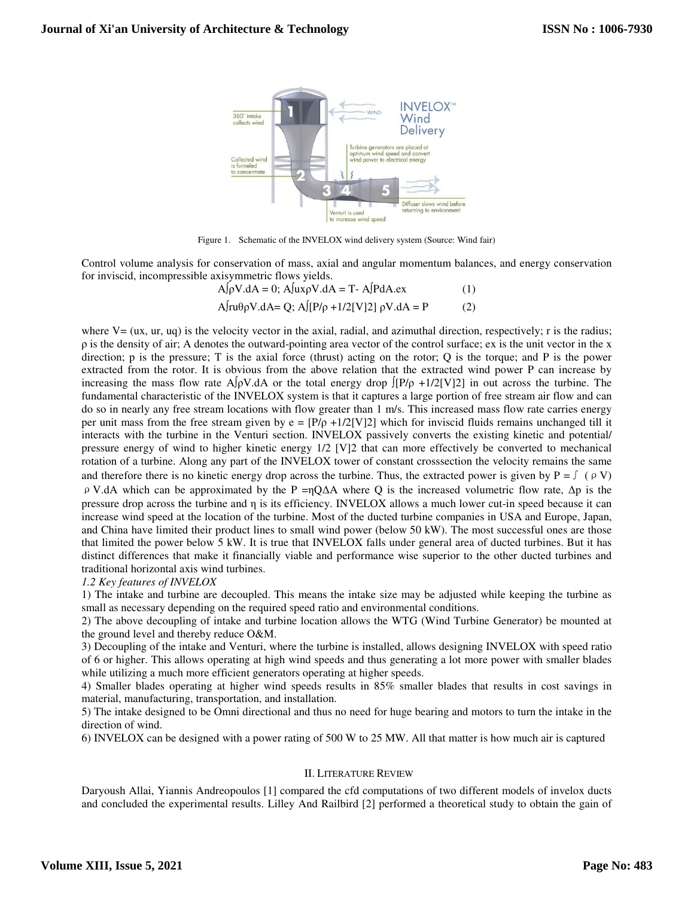

Figure 1. Schematic of the INVELOX wind delivery system (Source: Wind fair)

Control volume analysis for conservation of mass, axial and angular momentum balances, and energy conservation for inviscid, incompressible axisymmetric flows yields.

$$
A[\rho V.dA = 0; A[ux\rho V.dA = T - A[PdA.ex \t(1)
$$
  
 
$$
A[ru\theta\rho V.dA = Q; A[P/\rho + 1/2[V]2] \rho V.dA = P \t(2)
$$

where  $V = (ux, ur, uq)$  is the velocity vector in the axial, radial, and azimuthal direction, respectively; r is the radius;  $\rho$  is the density of air; A denotes the outward-pointing area vector of the control surface; ex is the unit vector in the x direction; p is the pressure; T is the axial force (thrust) acting on the rotor; Q is the torque; and P is the power extracted from the rotor. It is obvious from the above relation that the extracted wind power P can increase by increasing the mass flow rate A∫ρV.dA or the total energy drop  $\int [P/\rho +1/2]V[2]$  in out across the turbine. The fundamental characteristic of the INVELOX system is that it captures a large portion of free stream air flow and can do so in nearly any free stream locations with flow greater than 1 m/s. This increased mass flow rate carries energy per unit mass from the free stream given by  $e = [P/\rho + 1/2[V]/2]$  which for inviscid fluids remains unchanged till it interacts with the turbine in the Venturi section. INVELOX passively converts the existing kinetic and potential/ pressure energy of wind to higher kinetic energy 1/2 [V]2 that can more effectively be converted to mechanical rotation of a turbine. Along any part of the INVELOX tower of constant crosssection the velocity remains the same and therefore there is no kinetic energy drop across the turbine. Thus, the extracted power is given by P =  $\int (\rho V)$ ρV.dA which can be approximated by the P =ηQΔA where Q is the increased volumetric flow rate, Δp is the pressure drop across the turbine and η is its efficiency. INVELOX allows a much lower cut-in speed because it can increase wind speed at the location of the turbine. Most of the ducted turbine companies in USA and Europe, Japan, and China have limited their product lines to small wind power (below 50 kW). The most successful ones are those that limited the power below 5 kW. It is true that INVELOX falls under general area of ducted turbines. But it has distinct differences that make it financially viable and performance wise superior to the other ducted turbines and traditional horizontal axis wind turbines.

#### *1.2 Key features of INVELOX*

1) The intake and turbine are decoupled. This means the intake size may be adjusted while keeping the turbine as small as necessary depending on the required speed ratio and environmental conditions.

2) The above decoupling of intake and turbine location allows the WTG (Wind Turbine Generator) be mounted at the ground level and thereby reduce O&M.

3) Decoupling of the intake and Venturi, where the turbine is installed, allows designing INVELOX with speed ratio of 6 or higher. This allows operating at high wind speeds and thus generating a lot more power with smaller blades while utilizing a much more efficient generators operating at higher speeds.

4) Smaller blades operating at higher wind speeds results in 85% smaller blades that results in cost savings in material, manufacturing, transportation, and installation.

5) The intake designed to be Omni directional and thus no need for huge bearing and motors to turn the intake in the direction of wind.

6) INVELOX can be designed with a power rating of 500 W to 25 MW. All that matter is how much air is captured

#### II. LITERATURE REVIEW

Daryoush Allai, Yiannis Andreopoulos [1] compared the cfd computations of two different models of invelox ducts and concluded the experimental results. Lilley And Railbird [2] performed a theoretical study to obtain the gain of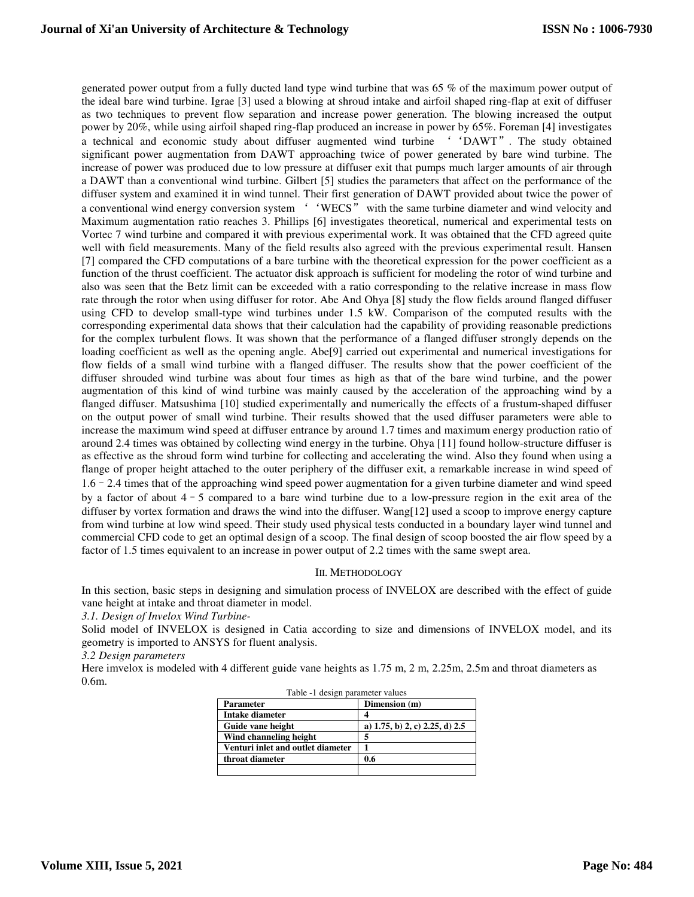generated power output from a fully ducted land type wind turbine that was 65 % of the maximum power output of the ideal bare wind turbine. Igrae [3] used a blowing at shroud intake and airfoil shaped ring-flap at exit of diffuser as two techniques to prevent flow separation and increase power generation. The blowing increased the output power by 20%, while using airfoil shaped ring-flap produced an increase in power by 65%. Foreman [4] investigates a technical and economic study about diffuser augmented wind turbine ''DAWT". The study obtained significant power augmentation from DAWT approaching twice of power generated by bare wind turbine. The increase of power was produced due to low pressure at diffuser exit that pumps much larger amounts of air through a DAWT than a conventional wind turbine. Gilbert [5] studies the parameters that affect on the performance of the diffuser system and examined it in wind tunnel. Their first generation of DAWT provided about twice the power of a conventional wind energy conversion system ''WECS" with the same turbine diameter and wind velocity and Maximum augmentation ratio reaches 3. Phillips [6] investigates theoretical, numerical and experimental tests on Vortec 7 wind turbine and compared it with previous experimental work. It was obtained that the CFD agreed quite well with field measurements. Many of the field results also agreed with the previous experimental result. Hansen [7] compared the CFD computations of a bare turbine with the theoretical expression for the power coefficient as a function of the thrust coefficient. The actuator disk approach is sufficient for modeling the rotor of wind turbine and also was seen that the Betz limit can be exceeded with a ratio corresponding to the relative increase in mass flow rate through the rotor when using diffuser for rotor. Abe And Ohya [8] study the flow fields around flanged diffuser using CFD to develop small-type wind turbines under 1.5 kW. Comparison of the computed results with the corresponding experimental data shows that their calculation had the capability of providing reasonable predictions for the complex turbulent flows. It was shown that the performance of a flanged diffuser strongly depends on the loading coefficient as well as the opening angle. Abe[9] carried out experimental and numerical investigations for flow fields of a small wind turbine with a flanged diffuser. The results show that the power coefficient of the diffuser shrouded wind turbine was about four times as high as that of the bare wind turbine, and the power augmentation of this kind of wind turbine was mainly caused by the acceleration of the approaching wind by a flanged diffuser. Matsushima [10] studied experimentally and numerically the effects of a frustum-shaped diffuser on the output power of small wind turbine. Their results showed that the used diffuser parameters were able to increase the maximum wind speed at diffuser entrance by around 1.7 times and maximum energy production ratio of around 2.4 times was obtained by collecting wind energy in the turbine. Ohya [11] found hollow-structure diffuser is as effective as the shroud form wind turbine for collecting and accelerating the wind. Also they found when using a flange of proper height attached to the outer periphery of the diffuser exit, a remarkable increase in wind speed of 1.6–2.4 times that of the approaching wind speed power augmentation for a given turbine diameter and wind speed by a factor of about 4–5 compared to a bare wind turbine due to a low-pressure region in the exit area of the diffuser by vortex formation and draws the wind into the diffuser. Wang[12] used a scoop to improve energy capture from wind turbine at low wind speed. Their study used physical tests conducted in a boundary layer wind tunnel and commercial CFD code to get an optimal design of a scoop. The final design of scoop boosted the air flow speed by a factor of 1.5 times equivalent to an increase in power output of 2.2 times with the same swept area.

#### III. METHODOLOGY

In this section, basic steps in designing and simulation process of INVELOX are described with the effect of guide vane height at intake and throat diameter in model.

*3.1. Design of Invelox Wind Turbine-*

Solid model of INVELOX is designed in Catia according to size and dimensions of INVELOX model, and its geometry is imported to ANSYS for fluent analysis.

*3.2 Design parameters*

Here imvelox is modeled with 4 different guide vane heights as 1.75 m, 2 m, 2.25m, 2.5m and throat diameters as 0.6m.

| <b>Parameter</b>                  | Dimension (m)                     |
|-----------------------------------|-----------------------------------|
| Intake diameter                   |                                   |
| Guide vane height                 | a) $1.75$ , b) 2, c) 2.25, d) 2.5 |
| Wind channeling height            |                                   |
| Venturi inlet and outlet diameter |                                   |
| throat diameter                   | 0.6                               |
|                                   |                                   |

|  | Table -1 design parameter values |
|--|----------------------------------|
|--|----------------------------------|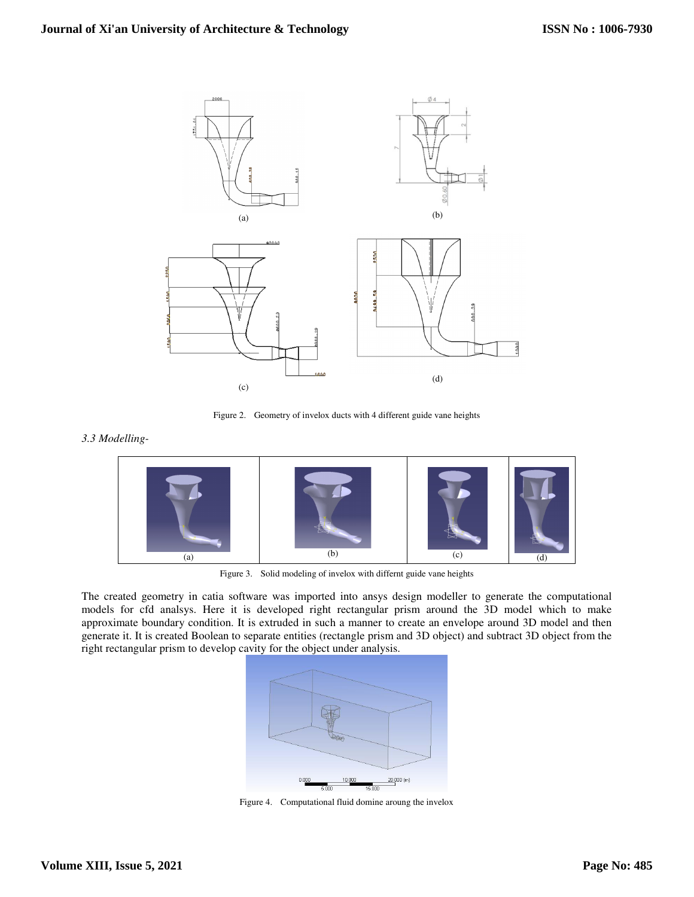

Figure 2. Geometry of invelox ducts with 4 different guide vane heights

## *3.3 Modelling-*



Figure 3. Solid modeling of invelox with differnt guide vane heights

The created geometry in catia software was imported into ansys design modeller to generate the computational models for cfd analsys. Here it is developed right rectangular prism around the 3D model which to make approximate boundary condition. It is extruded in such a manner to create an envelope around 3D model and then generate it. It is created Boolean to separate entities (rectangle prism and 3D object) and subtract 3D object from the right rectangular prism to develop cavity for the object under analysis.



Figure 4. Computational fluid domine aroung the invelox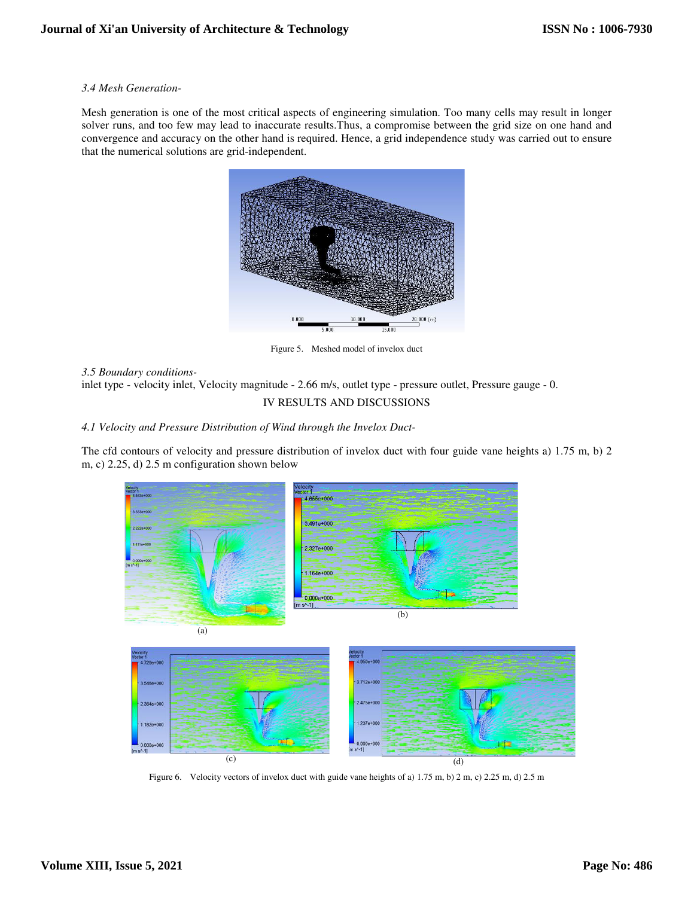#### *3.4 Mesh Generation-*

Mesh generation is one of the most critical aspects of engineering simulation. Too many cells may result in longer solver runs, and too few may lead to inaccurate results.Thus, a compromise between the grid size on one hand and convergence and accuracy on the other hand is required. Hence, a grid independence study was carried out to ensure that the numerical solutions are grid-independent.



Figure 5. Meshed model of invelox duct

*3.5 Boundary conditions-*

inlet type - velocity inlet, Velocity magnitude - 2.66 m/s, outlet type - pressure outlet, Pressure gauge - 0.

## IV RESULTS AND DISCUSSIONS

*4.1 Velocity and Pressure Distribution of Wind through the Invelox Duct-*

The cfd contours of velocity and pressure distribution of invelox duct with four guide vane heights a) 1.75 m, b) 2 m, c) 2.25, d) 2.5 m configuration shown below



Figure 6. Velocity vectors of invelox duct with guide vane heights of a) 1.75 m, b) 2 m, c) 2.25 m, d) 2.5 m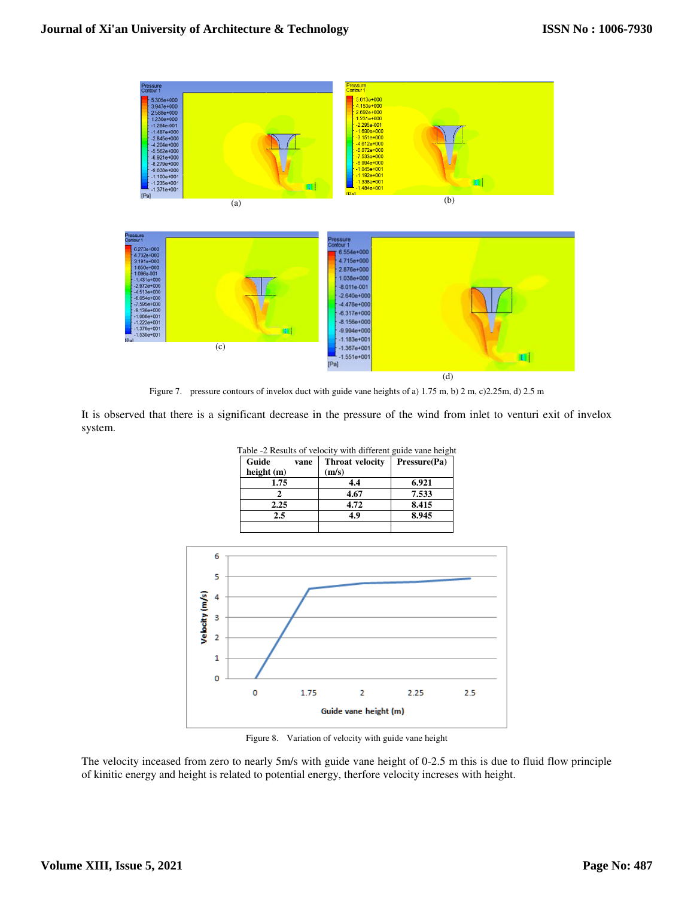

Figure 7. pressure contours of invelox duct with guide vane heights of a) 1.75 m, b) 2 m, c)2.25m, d) 2.5 m

It is observed that there is a significant decrease in the pressure of the wind from inlet to venturi exit of invelox system.

| Guide      | vane | <b>Throat velocity</b> | Pressure(Pa) |
|------------|------|------------------------|--------------|
| height (m) |      | (m/s)                  |              |
| 1.75       |      | 4.4                    | 6.921        |
|            |      | 4.67                   | 7.533        |
| 2.25       |      | 4.72                   | 8.415        |
| 2.5        |      | 49                     | 8.945        |



Figure 8. Variation of velocity with guide vane height

The velocity inceased from zero to nearly 5m/s with guide vane height of 0-2.5 m this is due to fluid flow principle of kinitic energy and height is related to potential energy, therfore velocity increses with height.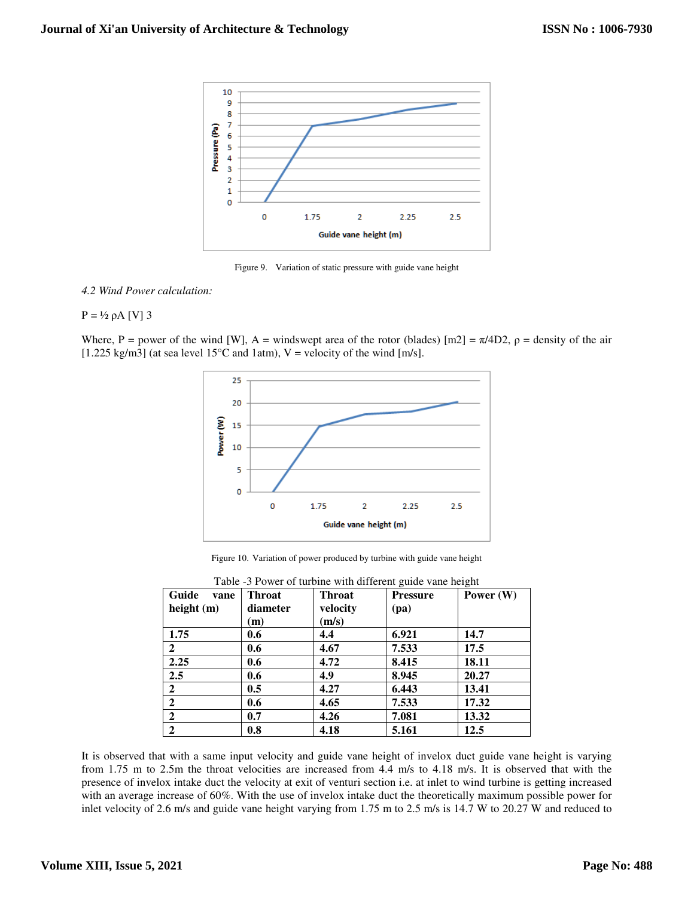

Figure 9. Variation of static pressure with guide vane height

#### *4.2 Wind Power calculation:*

## $P = \frac{1}{2}$  ρA [V] 3

Where, P = power of the wind [W], A = windswept area of the rotor (blades)  $[m2] = \pi/4D2$ ,  $\rho$  = density of the air [1.225 kg/m3] (at sea level 15<sup>o</sup>C and 1atm), V = velocity of the wind [m/s].



Figure 10. Variation of power produced by turbine with guide vane height

| Table -3 Power of turbine with different guide vane height |               |               |                 |             |  |  |
|------------------------------------------------------------|---------------|---------------|-----------------|-------------|--|--|
| Guide<br>vane                                              | <b>Throat</b> | <b>Throat</b> | <b>Pressure</b> | Power $(W)$ |  |  |
| height $(m)$                                               | diameter      | velocity      | (pa)            |             |  |  |
|                                                            | (m)           | (m/s)         |                 |             |  |  |
| 1.75                                                       | 0.6           | 4.4           | 6.921           | 14.7        |  |  |
| $\overline{2}$                                             | 0.6           | 4.67          | 7.533           | 17.5        |  |  |
| 2.25                                                       | 0.6           | 4.72          | 8.415           | 18.11       |  |  |
| 2.5                                                        | 0.6           | 4.9           | 8.945           | 20.27       |  |  |
| $\overline{2}$                                             | 0.5           | 4.27          | 6.443           | 13.41       |  |  |
| $\mathbf{2}$                                               | 0.6           | 4.65          | 7.533           | 17.32       |  |  |
| $\mathbf{2}$                                               | 0.7           | 4.26          | 7.081           | 13.32       |  |  |
| $\overline{2}$                                             | 0.8           | 4.18          | 5.161           | 12.5        |  |  |

It is observed that with a same input velocity and guide vane height of invelox duct guide vane height is varying from 1.75 m to 2.5m the throat velocities are increased from 4.4 m/s to 4.18 m/s. It is observed that with the presence of invelox intake duct the velocity at exit of venturi section i.e. at inlet to wind turbine is getting increased with an average increase of 60%. With the use of invelox intake duct the theoretically maximum possible power for inlet velocity of 2.6 m/s and guide vane height varying from 1.75 m to 2.5 m/s is 14.7 W to 20.27 W and reduced to